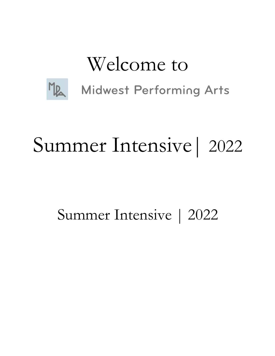## Welcome to



**Midwest Performing Arts** 

# Summer Intensive| 2022

## Summer Intensive | 2022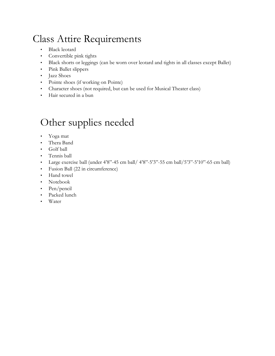### Class Attire Requirements

- Black leotard
- Convertible pink tights
- Black shorts or leggings (can be worn over leotard and tights in all classes except Ballet)
- Pink Ballet slippers
- Jazz Shoes
- Pointe shoes (if working on Pointe)
- Character shoes (not required, but can be used for Musical Theater class)
- Hair secured in a bun

### Other supplies needed

- Yoga mat
- Thera Band
- Golf ball
- Tennis ball
- Large exercise ball (under  $4'8''-45$  cm ball/  $4'8''-5'3''-55$  cm ball/ $5'3''-5'10''-65$  cm ball)
- Fusion Ball (22 in circumference)
- Hand towel
- Notebook
- Pen/pencil
- Packed lunch
- Water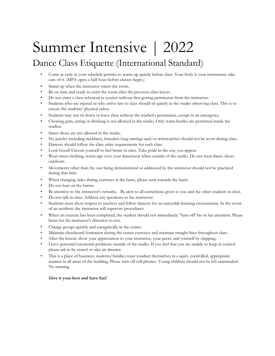## Summer Intensive | 2022

### Dance Class Etiquette (International Standard)

- Come as early as your schedule permits to warm-up quietly before class. Your body is your instrument, take care of it. (MPA open a half hour before classes begin.)
- Stand-up when the instructor enters the room.
- Be on time and ready to enter the room after the previous class leaves.
- Do not enter a class rehearsal in session without first getting permission from the instructor.
- Students who are injured or who arrive late to class should sit quietly in the studio observing class. This is to ensure the students' physical safety.
- Students may not sit down or leave class without the teacher's permission, except in an emergency.
- Chewing gum, eating or drinking is not allowed in the studio. Only water bottles are permitted inside the studios.
- Street shoes are not allowed in the studio.
- No jewelry including necklaces, bracelets long earrings and/or wristwatches should not be worn during class.
- Dancers should follow the class attire requirements for each class.
- Look Good! Groom yourself to feel better in class. Take pride in the way you appear.
- Wear street clothing, warm-ups over your dancewear when outside of the studio. Do not wear dance shoes outdoors.
- Movements other than the one being demonstrated or addressed by the instructor should not be practiced during that time.
- When changing sides during exercises at the barre, please turn towards the barre.
- Do not lean on the barres.
- Be attentive to the instructor's remarks. Be alert to all corrections given to you and the other students in class.
- Do not talk in class. Address any questions to the instructor.
- Students must show respect to teachers and fellow dancers for an enjoyable learning environment. In the event of an accident, the instructor will supervise procedures.
- When an exercise has been completed, the student should not immediately "turn off' his or her attention. Please listen for the instructor's direction to rest.
- Change groups quickly and energetically in the center.
- Maintain chessboard formation during the center exercises and maintain straight lines throughout class.
- After the lesson, show your appreciation to your instructor, your peers, and yourself by clapping.
- Leave personal/emotional problems outside of the studio. If you feel that you are unable to keep in control please ask to be seated or take an absence.
- This is a place of business; students/families must conduct themselves in a quiet, controlled, appropriate manner in all areas of the building. Please turn off cell phones. Young children should not be left unattended. No running.

#### **Give it your best and have fun!**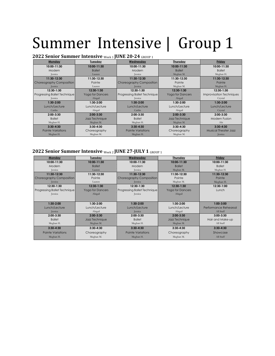| $\mathbf{u}$ of $\mathbf{u}$ $\mathbf{u}$ and $\mathbf{u}$ are $\mathbf{u}$ and $\mathbf{u}$ are $\mathbf{u}$ and $\mathbf{u}$ and $\mathbf{u}$ are $\mathbf{u}$ and $\mathbf{u}$ are $\mathbf{u}$ and $\mathbf{u}$ are $\mathbf{u}$ and $\mathbf{u}$ are $\mathbf{u}$ and $\mathbf{u}$ are $\mathbf{$ |                         |                              |                         |                                 |
|--------------------------------------------------------------------------------------------------------------------------------------------------------------------------------------------------------------------------------------------------------------------------------------------------------|-------------------------|------------------------------|-------------------------|---------------------------------|
| Monday                                                                                                                                                                                                                                                                                                 | <u>Tuesday</u>          | Wednesday                    | Thursday                | <b>Friday</b>                   |
| 10:00-11:30                                                                                                                                                                                                                                                                                            | 10:00-11:30             | 10:00-11:30                  | 10:00-11:30             | 10:00-11:30                     |
| Modern                                                                                                                                                                                                                                                                                                 | <b>Ballet</b>           | Modern                       | <b>Ballet</b>           | <b>Ballet</b>                   |
| Jessica                                                                                                                                                                                                                                                                                                | Lauren                  | Jessica                      | Meghan M.               | Meghan H.                       |
| 11:30-12:30                                                                                                                                                                                                                                                                                            | 11:30-12:30             | 11:30-12:30                  | 11:30-12:30             | 11:30-12:30                     |
| Choreography Composition                                                                                                                                                                                                                                                                               | Pointe                  | Choreography Composition     | Pointe                  | Pointe                          |
| <b>Jessica</b>                                                                                                                                                                                                                                                                                         | Lauren                  | <b>Jessica</b>               | Meghan M.               | Meghan H.                       |
| 12:30-1:30                                                                                                                                                                                                                                                                                             | 12:30-1:30              | 12:30-1:30                   | 12:30-1:30              | 12:30-1:30                      |
| Progressing Ballet Technique                                                                                                                                                                                                                                                                           | <b>Yoga for Dancers</b> | Progressing Ballet Technique | <b>Yoga for Dancers</b> | <b>Improvisation Techniques</b> |
| <b>Jessica</b>                                                                                                                                                                                                                                                                                         | Abigail                 | Jessica                      | Abigail                 | Crystal                         |
| $1:30-2:00$                                                                                                                                                                                                                                                                                            | $1:30-2:00$             | $1:30-2:00$                  | 1:30-2:00               | 1:30-2:00                       |
| Lunch/Lecture                                                                                                                                                                                                                                                                                          | Lunch/Lecture           | Lunch/Lecture                | Lunch/Lecture           | Lunch/Lecture                   |
| Caitlin                                                                                                                                                                                                                                                                                                | Abigail                 | Caitlin                      | Abigail                 | Crystal                         |
| $2:00 - 3:30$                                                                                                                                                                                                                                                                                          | $2:00 - 3:30$           | $2:00-3:30$                  | $2:00 - 3:30$           | $2:00 - 3:30$                   |
| <b>Ballet</b>                                                                                                                                                                                                                                                                                          | Jazz Technique          | <b>Ballet</b>                | Jazz Technique          | <b>Modern Fusion</b>            |
| Meghan H.                                                                                                                                                                                                                                                                                              | Meghan M.               | Meghan H.                    | Meghan M.               | Abi                             |
| $3:30 - 4:30$                                                                                                                                                                                                                                                                                          | $3:30 - 4:30$           | $3:30 - 4:30$                | $3:30 - 4:30$           | $3:30 - 4:30$                   |
| <b>Pointe Variations</b>                                                                                                                                                                                                                                                                               | Choreography            | <b>Pointe Variations</b>     | Choreography            | <b>Musical Theater Jazz</b>     |
| Meghan H.                                                                                                                                                                                                                                                                                              | Meghan M.               | Meghan H.                    | Meghan M.               | <b>Jessica</b>                  |

#### **2022 Senior Summer Intensive** Week <sup>1</sup> **JUNE 20-24** GROUP <sup>1</sup>

#### **2022 Senior Summer Intensive** Week <sup>2</sup> **JUNE 27-JULY 1** GROUP <sup>1</sup>

| Monday                          | Tuesday                 | Wednesday                       | Thursday                | Friday                |
|---------------------------------|-------------------------|---------------------------------|-------------------------|-----------------------|
| 10:00-11:30                     | 10:00-11:30             | 10:00-11:30                     | 10:00-11:30             | 10:00-11:30           |
| Modern                          | <b>Ballet</b>           | Modern                          | <b>Ballet</b>           | <b>Ballet</b>         |
| Jessica                         | Lauren                  | Jessica                         | Meghan M.               | Meghan H.             |
| 11:30-12:30                     | 11:30-12:30             | 11:30-12:30                     | 11:30-12:30             | 11:30-12:30           |
| <b>Choreography Composition</b> | Pointe                  | <b>Choreography Composition</b> | Pointe                  | Pointe                |
| <b>Jessica</b>                  | Lauren                  | <b>Jessica</b>                  | Meghan M.               | Meghan H.             |
| 12:30-1:30                      | 12:30-1:30              | 12:30-1:30                      | 12:30-1:30              | 12:30-1:00            |
| Progressing Ballet Technique    | <b>Yoga for Dancers</b> | Progressing Ballet Technique    | <b>Yoga for Dancers</b> | Lunch                 |
| <b>Jessica</b>                  | Abigail                 | <b>Jessica</b>                  | Abigail                 |                       |
|                                 |                         |                                 |                         |                       |
| $1:30-2:00$                     | $1:30-2:00$             | $1:30-2:00$                     | $1:30-2:00$             | $1:00-3:00$           |
| Lunch/Lecture                   | Lunch/Lecture           | Lunch/Lecture                   | Lunch/Lecture           | Performance Rehearsal |
| <b>Jessica</b>                  | Abigail                 | <b>Jessica</b>                  | Abigail                 | All Staff             |
| $2:00 - 3:30$                   | $2:00 - 3:30$           | $2:00 - 3:30$                   | $2:00 - 3:30$           | $3:00 - 3:30$         |
| <b>Ballet</b>                   | Jazz Technique          | <b>Ballet</b>                   | Jazz Technique          | Hair and Make-up      |
| Meghan H.                       | Meghan M.               | Meghan H.                       | Meghan M.               | All Staff             |
| $3:30 - 4:30$                   | $3:30 - 4:30$           | $3:30 - 4:30$                   | $3:30 - 4:30$           | $3:30 - 4:30$         |
| <b>Pointe Variations</b>        | Choreography            | <b>Pointe Variations</b>        | Choreography            | Showcase              |
| Meghan H.                       | Meghan M.               | Meghan H.                       | Meghan M.               | All Staff             |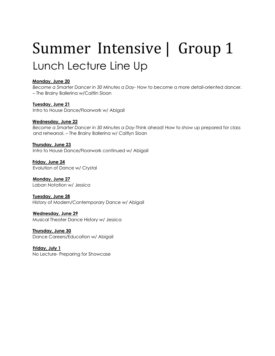### Summer Intensive | Group 1 Lunch Lecture Line Up

#### **Monday, June 20**

*Become a Smarter Dancer in 30 Minutes a Day-* How to become a more detail-oriented dancer. – The Brainy Ballerina w/Caitlin Sloan

**Tuesday, June 21**  Intro to House Dance/Floorwork w/ Abigail

#### **Wednesday, June 22**

*Become a Smarter Dancer in 30 Minutes a Day-*Think ahead! How to show up prepared for class and rehearsal. – The Brainy Ballerina w/ Caitlyn Sloan

**Thursday, June 23**

Intro to House Dance/Floorwork continued w/ Abigail

**Friday, June 24** Evolution of Dance w/ Crystal

**Monday, June 27**  Laban Notation w/ Jessica

#### **Tuesday, June 28**

History of Modern/Contemporary Dance w/ Abigail

#### **Wednesday, June 29**

Musical Theater Dance History w/ Jessica

**Thursday, June 30** Dance Careers/Education w/ Abigail

**Friday, July 1** No Lecture- Preparing for Showcase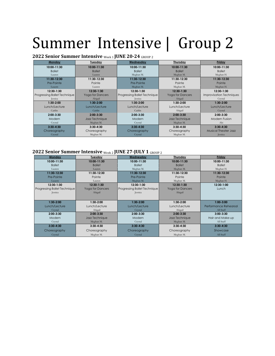#### **2022 Senior Summer Intensive** Week 1 **JUNE 20-24** GROUP 2

| Monday                              | Tuesday                 | Wednesday                    | Thursday                | Friday                          |
|-------------------------------------|-------------------------|------------------------------|-------------------------|---------------------------------|
| 10:00-11:30                         | 10:00-11:30             | 10:00-11:30                  | 10:00-11:30             | 10:00-11:30                     |
| <b>Ballet</b>                       | <b>Ballet</b>           | <b>Ballet</b>                | <b>Ballet</b>           | <b>Ballet</b>                   |
| Lauren                              | Lauren                  | Meghan M.                    | Meghan M.               | Meghan H.                       |
| 11:30-12:30                         | 11:30-12:30             | 11:30-12:30                  | 11:30-12:30             | 11:30-12:30                     |
| Pre-Pointe                          | Pointe                  | Pre-Pointe                   | Pointe                  | Pointe                          |
| Lauern                              | Lauren                  | Meghan M.                    | Meghan M.               | Meghan H.                       |
| 12:30-1:30                          | $12:30-1:30$            | 12:30-1:30                   | 12:30-1:30              | 12:30-1:30                      |
| <b>Progressing Ballet Technique</b> | <b>Yoga for Dancers</b> | Progressing Ballet Technique | <b>Yoga for Dancers</b> | <b>Improvisation Techniques</b> |
| <b>Jessica</b>                      | Abigail                 | <b>Jessica</b>               | Abigail                 | Crystal                         |
| $1:30-2:00$                         | $1:30-2:00$             | $1:30-2:00$                  | $1:30-2:00$             | $1:30-2:00$                     |
| Lunch/Lecture                       | Lunch/Lecture           | Lunch/Lecture                | Lunch/Lecture           | Lunch/Lecture                   |
| Caitlin                             | Caitlin                 | Caitlin                      | Abigail                 | Crystal                         |
| $2:00-3:30$                         | $2:00-3:30$             | $2:00 - 3:30$                | $2:00 - 3:30$           | $2:00-3:30$                     |
| Modern                              | Jazz Technique          | Modern                       | Jazz Technique          | Modern Fusion                   |
| Crystal                             | Meghan M.               | Crystal                      | Meghan M.               | Abi                             |
| $3:30 - 4:30$                       | $3:30 - 4:30$           | $3:30 - 4:30$                | $3:30 - 4:30$           | $3:30 - 4:30$                   |
| Choreography                        | Choreography            | Choreography                 | Choreography            | <b>Musical Theater Jazz</b>     |
| Crystal                             | Meghan M.               | Crystal                      | Meghan M.               | <b>Jessica</b>                  |

#### **2022 Senior Summer Intensive** Week <sup>2</sup> **JUNE 27-JULY 1** GROUP <sup>2</sup>

| Monday                       | Tuesday          | Wednesday                           | Thursday         | Friday                |
|------------------------------|------------------|-------------------------------------|------------------|-----------------------|
| 10:00-11:30                  | 10:00-11:30      | 10:00-11:30                         | 10:00-11:30      | 10:00-11:30           |
| <b>Ballet</b>                | <b>Ballet</b>    | <b>Ballet</b>                       | <b>Ballet</b>    | <b>Ballet</b>         |
| Lauren                       | Lauren           | Meghan M.                           | Meghan M.        | Meghan H.             |
| 11:30-12:30                  | 11:30-12:30      | 11:30-12:30                         | 11:30-12:30      | 11:30-12:30           |
| Pre-Pointe                   | Pointe           | Pre-Pointe                          | Pointe           | Pointe                |
| Lauern                       | Lauren           | Meghan M.                           | Meghan M.        | Meghan H.             |
| 12:30-1:30                   | 12:30-1:30       | 12:30-1:30                          | 12:30-1:30       | 12:30-1:00            |
| Progressing Ballet Technique | Yoga for Dancers | <b>Progressing Ballet Technique</b> | Yoga for Dancers | Lunch                 |
| <b>Jessica</b>               | Abigail          | <b>Jessica</b>                      | Abigail          |                       |
|                              |                  |                                     |                  |                       |
| $1:30-2:00$                  | $1:30-2:00$      | $1:30-2:00$                         | 1:30-2:00        | $1:00-3:00$           |
| Lunch/Lecture                | Lunch/Lecture    | Lunch/Lecture                       | Lunch/Lecture    | Performance Rehearsal |
| Crystal                      | Abigail          | Crystal                             | Abigail          | All Staff             |
| $2:00-3:30$                  | $2:00 - 3:30$    | $2:00-3:30$                         | $2:00 - 3:30$    | $3:00 - 3:30$         |
| Modern                       | Jazz Technique   | Modern                              | Jazz Technique   | Hair and Make-up      |
| Crystal                      | Meghan M.        | Crystal                             | Meghan M.        | All Staff             |
| $3:30 - 4:30$                | $3:30 - 4:30$    | $3:30 - 4:30$                       | $3:30 - 4:30$    | $3:30 - 4:30$         |
| Choreography                 | Choreography     | Choreography                        | Choreography     | Showcase              |
| Crystal                      | Meghan M.        | Crystal                             | Meghan M.        | All Staff             |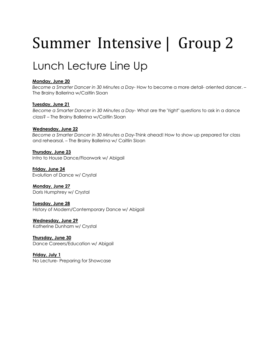### Lunch Lecture Line Up

#### **Monday, June 20**

*Become a Smarter Dancer in 30 Minutes a Day-* How to become a more detail- oriented dancer. – The Brainy Ballerina w/Caitlin Sloan

#### **Tuesday, June 21**

*Become a Smarter Dancer in 30 Minutes a Day-* What are the "right" questions to ask in a dance class? – The Brainy Ballerina w/Caitlin Sloan

#### **Wednesday, June 22**

*Become a Smarter Dancer in 30 Minutes a Day-*Think ahead! How to show up prepared for class and rehearsal. – The Brainy Ballerina w/ Caitlin Sloan

**Thursday, June 23** Intro to House Dance/Floorwork w/ Abigail

**Friday, June 24** Evolution of Dance w/ Crystal

**Monday, June 27**  Doris Humphrey w/ Crystal

**Tuesday, June 28** History of Modern/Contemporary Dance w/ Abigail

**Wednesday, June 29** Katherine Dunham w/ Crystal

**Thursday, June 30** Dance Careers/Education w/ Abigail

**Friday, July 1** No Lecture- Preparing for Showcase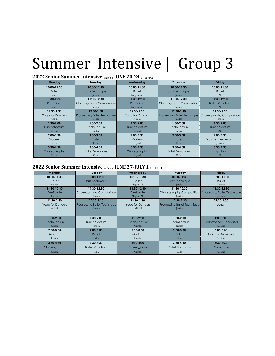#### **2022 Senior Summer Intensive** Week 1 **JUNE 20-24** GROUP 3

| Monday                  | Tuesday                             | Wednesday               | Thursday                                                     | Friday                      |
|-------------------------|-------------------------------------|-------------------------|--------------------------------------------------------------|-----------------------------|
| 10:00-11:30             | 10:00-11:30                         | 10:00-11:30             | 10:00-11:30                                                  | 10:00-11:30                 |
| <b>Ballet</b>           | Jazz Technique                      | <b>Ballet</b>           | Jazz Technique                                               | <b>Ballet</b>               |
| Lauren                  | <b>Jessica</b>                      | Meghan M.               | <b>Jessica</b>                                               | Abi                         |
| 11:30-12:30             | 11:30-12:30                         | 11:30-12:30             | 11:30-12:30                                                  | 11:30-12:30                 |
| Pre-Pointe              | Choreography Composition            | Pre-Pointe              | Choreography Composition                                     | <b>Ballet Variations</b>    |
| Lauren                  | <b>Jessica</b>                      | Meghan M.               | <b>Jessica</b>                                               | Abi                         |
| 12:30-1:30              | 12:30-1:30                          | 12:30-1:30              | 12:30-1:30                                                   | 12:30-1:30                  |
| <b>Yoga for Dancers</b> | <b>Progressing Ballet Technique</b> | <b>Yoga for Dancers</b> | <b>Progressing Ballet Technique Choreography Composition</b> |                             |
| Abigail                 | <b>Jessica</b>                      | Abigail                 | Jessica                                                      | Jessica                     |
| $1:30-2:00$             | $1:30-2:00$                         | $1:30-2:00$             | 1:30-2:00                                                    | $1:30-2:00$                 |
| Lunch/Lecture           | Lunch/Lecture                       | Lunch/Lecture           | Lunch/Lecture                                                | Lunch/Lecture               |
| Crystal                 | Catlin                              | Crystal                 | Catlin                                                       | Abi                         |
| $2:00 - 3:30$           | $2:00 - 3:30$                       | $2:00 - 3:30$           | $2:00-3:30$                                                  | $2:00-3:30$                 |
| Modern                  | <b>Ballet</b>                       | Modern                  | <b>Ballet</b>                                                | <b>Musical Theater Jazz</b> |
| Crystal                 | Celia                               | Crystal                 | Celia                                                        | Jessica                     |
| $3:30 - 4:30$           | $3:30 - 4:30$                       | $3:30 - 4:30$           | $3:30 - 4:30$                                                | $3:30 - 4:30$               |
| Choreography            | <b>Ballet Variations</b>            | Choreography            | <b>Ballet Variations</b>                                     | Hip Hop                     |
| Crystal                 | Celia                               | Crystal                 | Celia                                                        | Abi                         |

#### **2022 Senior Summer Intensive Week 2 JUNE 27-JULY 1 GROUP 3**

| Monday           | Tuesday                             | Wednesday               | Thursday                            | Friday                                                |
|------------------|-------------------------------------|-------------------------|-------------------------------------|-------------------------------------------------------|
| 10:00-11:30      | 10:00-11:30                         | 10:00-11:30             | 10:00-11:30                         | 10:00-11:30                                           |
| <b>Ballet</b>    | Jazz Technique                      | <b>Ballet</b>           | Jazz Technique                      | <b>Ballet</b>                                         |
| Lauren           | <b>Iessica</b>                      | Meghan M.               | <b>Jessica</b>                      | <b>Jessica</b>                                        |
| 11:30-12:30      | 11:30-12:30                         | 11:30-12:30             | 11:30-12:30                         | 11:30-12:30                                           |
| Pre-Pointe       | Choreography Composition            | Pre-Pointe              |                                     | Choreography Composition Progressing Ballet Technique |
| Lauren           | <b>Jessica</b>                      | Meghan M.               | <b>Jessica</b>                      | <b>Jessica</b>                                        |
| 12:30-1:30       | 12:30-1:30                          | 12:30-1:30              | 12:30-1:30                          | 12:30-1:00                                            |
| Yoga for Dancers | <b>Progressing Ballet Technique</b> | <b>Yoga for Dancers</b> | <b>Progressing Ballet Technique</b> | Lunch                                                 |
| Abigail          | <b>Jessica</b>                      | Abigail                 | <b>Jessica</b>                      |                                                       |
|                  |                                     |                         |                                     |                                                       |
| $1:30-2:00$      | $1:30-2:00$                         | $1:30-2:00$             | $1:30-2:00$                         | $1:00-3:00$                                           |
| Lunch/Lecture    | Lunch/Lecture                       | Lunch/Lecture           | Lunch/Lecture                       | Performance Rehearsal                                 |
| Crystal          | Jessica                             | Crystal                 | Jessica                             | All Staff                                             |
| $2:00 - 3:30$    | $2:00 - 3:30$                       | $2:00-3:30$             | $2:00 - 3:30$                       | $3:00 - 3:30$                                         |
| Modern           | <b>Ballet</b>                       | Modern                  | <b>Ballet</b>                       | Hair and Make-up                                      |
| Crystal          | Celia                               | Crystal                 | Celia                               | All Staff                                             |
| $3:30 - 4:30$    | $3:30 - 4:30$                       | $3:30 - 4:30$           | $3:30 - 4:30$                       | $3:30 - 4:30$                                         |
| Choreography     | <b>Ballet Variations</b>            | Choreography            | <b>Ballet Variations</b>            | Showcase                                              |
| Crystal          | Celia                               | Crystal                 | Celia                               | All Staff                                             |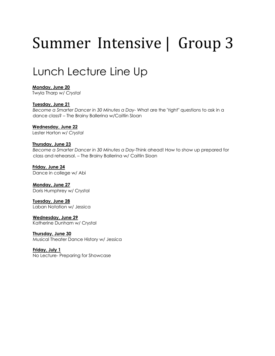### Lunch Lecture Line Up

**Monday, June 20**  Twyla Tharp *w/ Crystal*

#### **Tuesday, June 21**

*Become a Smarter Dancer in 30 Minutes a Day-* What are the "right" questions to ask in a dance class? – The Brainy Ballerina w/Caitlin Sloan

**Wednesday, June 22**  Lester Horton *w/ Crystal* 

#### **Thursday, June 23**

*Become a Smarter Dancer in 30 Minutes a Day-*Think ahead! How to show up prepared for class and rehearsal. – The Brainy Ballerina w/ Caitlin Sloan

**Friday, June 24** Dance in college w/ Abi

**Monday, June 27**  Doris Humphrey w/ Crystal

**Tuesday, June 28** Laban Notation w/ Jessica

**Wednesday, June 29** Katherine Dunham w/ Crystal

**Thursday, June 30** Musical Theater Dance History w/ Jessica

**Friday, July 1** No Lecture- Preparing for Showcase